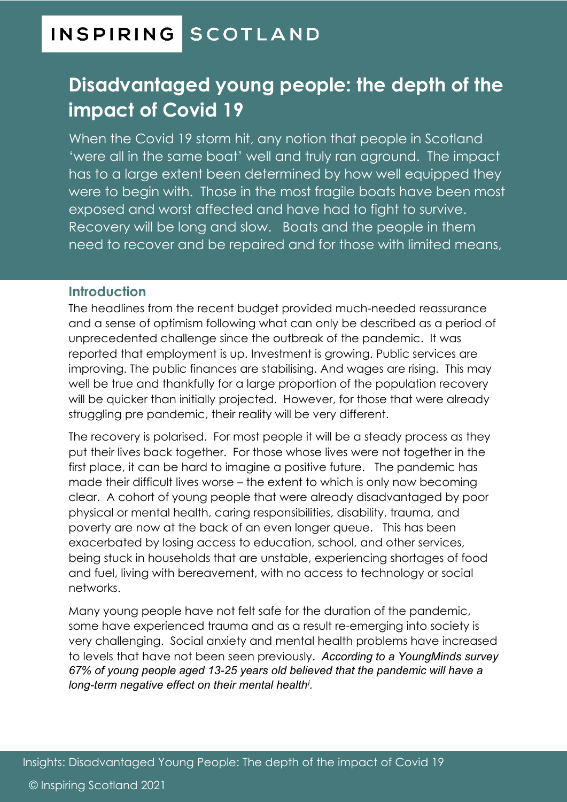# **INSPIRING SCOTLAND**

# **Disadvantaged young people: the depth of the impact of Covid 19**

When the Covid 19 storm hit, any notion that people in Scotland 'were all in the same boat' well and truly ran aground. The impact has to a large extent been determined by how well equipped they were to begin with. Those in the most fragile boats have been most exposed and worst affected and have had to fight to survive. Recovery will be long and slow. Boats and the people in them need to recover and be repaired and for those with limited means,

#### **Introduction**

The headlines from the recent budget provided much-needed reassurance and a sense of optimism following what can only be described as a period of unprecedented challenge since the outbreak of the pandemic. It was reported that employment is up. Investment is growing. Public services are improving. The public finances are stabilising. And wages are rising. This may well be true and thankfully for a large proportion of the population recovery will be quicker than initially projected. However, for those that were already struggling pre pandemic, their reality will be very different.

The recovery is polarised. For most people it will be a steady process as they put their lives back together. For those whose lives were not together in the first place, it can be hard to imagine a positive future. The pandemic has made their difficult lives worse – the extent to which is only now becoming clear. A cohort of young people that were already disadvantaged by poor physical or mental health, caring responsibilities, disability, trauma, and poverty are now at the back of an even longer queue. This has been exacerbated by losing access to education, school, and other services, being stuck in households that are unstable, experiencing shortages of food and fuel, living with bereavement, with no access to technology or social networks.

Many young people have not felt safe for the duration of the pandemic, some have experienced trauma and as a result re-emerging into society is very challenging. Social anxiety and mental health problems have increased to levels that have not been seen previously. *According to a YoungMinds survey 67% of young people aged 13-25 years old believed that the pandemic will have a long-term negative effect on their mental health[i](#page-8-0) .*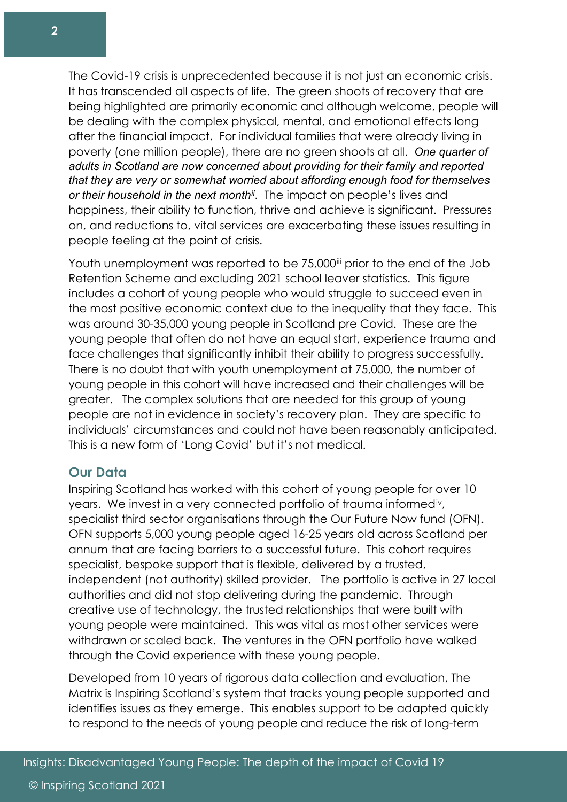The Covid-19 crisis is unprecedented because it is not just an economic crisis. It has transcended all aspects of life. The green shoots of recovery that are being highlighted are primarily economic and although welcome, people will be dealing with the complex physical, mental, and emotional effects long after the financial impact. For individual families that were already living in poverty (one million people), there are no green shoots at all. *One quarter of adults in Scotland are now concerned about providing for their family and reported that they are very or somewhat worried about affording enough food for themselves or their household in the next month[ii](#page-8-1)*. The impact on people's lives and happiness, their ability to function, thrive and achieve is significant. Pressures on, and reductions to, vital services are exacerbating these issues resulting in people feeling at the point of crisis.

Youth unemployment was reported to be 75,000<sup>ii</sup> prior to the end of the Job Retention Scheme and excluding 2021 school leaver statistics. This figure includes a cohort of young people who would struggle to succeed even in the most positive economic context due to the inequality that they face. This was around 30-35,000 young people in Scotland pre Covid. These are the young people that often do not have an equal start, experience trauma and face challenges that significantly inhibit their ability to progress successfully. There is no doubt that with youth unemployment at 75,000, the number of young people in this cohort will have increased and their challenges will be greater. The complex solutions that are needed for this group of young people are not in evidence in society's recovery plan. They are specific to individuals' circumstances and could not have been reasonably anticipated. This is a new form of 'Long Covid' but it's not medical.

#### **Our Data**

Inspiring Scotland has worked with this cohort of young people for over 10 years. We invest in a very connected portfolio of trauma informed[iv](#page-8-3), specialist third sector organisations through the Our Future Now fund (OFN). OFN supports 5,000 young people aged 16-25 years old across Scotland per annum that are facing barriers to a successful future. This cohort requires specialist, bespoke support that is flexible, delivered by a trusted, independent (not authority) skilled provider. The portfolio is active in 27 local authorities and did not stop delivering during the pandemic. Through creative use of technology, the trusted relationships that were built with young people were maintained. This was vital as most other services were withdrawn or scaled back. The ventures in the OFN portfolio have walked through the Covid experience with these young people.

Developed from 10 years of rigorous data collection and evaluation, The Matrix is Inspiring Scotland's system that tracks young people supported and identifies issues as they emerge. This enables support to be adapted quickly to respond to the needs of young people and reduce the risk of long-term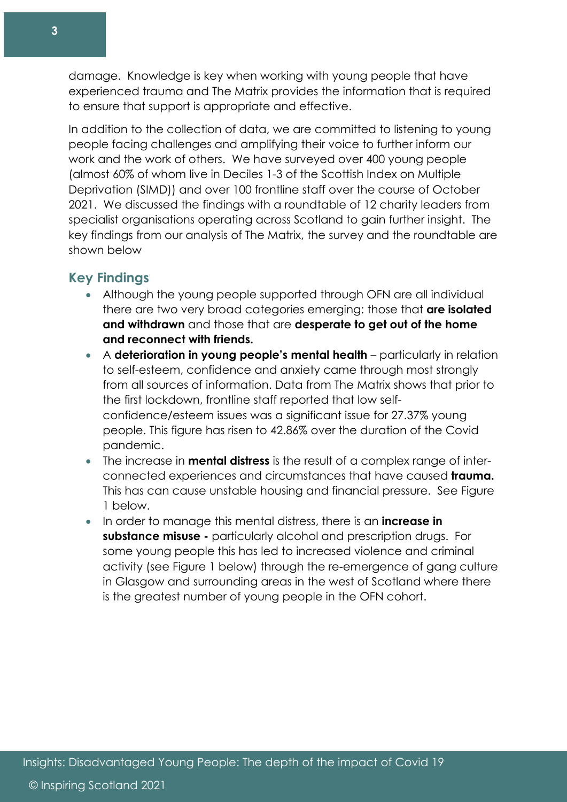damage. Knowledge is key when working with young people that have experienced trauma and The Matrix provides the information that is required to ensure that support is appropriate and effective.

In addition to the collection of data, we are committed to listening to young people facing challenges and amplifying their voice to further inform our work and the work of others. We have surveyed over 400 young people (almost 60% of whom live in Deciles 1-3 of the Scottish Index on Multiple Deprivation (SIMD)) and over 100 frontline staff over the course of October 2021. We discussed the findings with a roundtable of 12 charity leaders from specialist organisations operating across Scotland to gain further insight. The key findings from our analysis of The Matrix, the survey and the roundtable are shown below

# **Key Findings**

- Although the young people supported through OFN are all individual there are two very broad categories emerging: those that **are isolated and withdrawn** and those that are **desperate to get out of the home and reconnect with friends.**
- A **deterioration in young people's mental health** particularly in relation to self-esteem, confidence and anxiety came through most strongly from all sources of information. Data from The Matrix shows that prior to the first lockdown, frontline staff reported that low selfconfidence/esteem issues was a significant issue for 27.37% young people. This figure has risen to 42.86% over the duration of the Covid pandemic.
- The increase in **mental distress** is the result of a complex range of interconnected experiences and circumstances that have caused **trauma.** This has can cause unstable housing and financial pressure. See Figure 1 below.
- In order to manage this mental distress, there is an **increase in substance misuse -** particularly alcohol and prescription drugs. For some young people this has led to increased violence and criminal activity (see Figure 1 below) through the re-emergence of gang culture in Glasgow and surrounding areas in the west of Scotland where there is the greatest number of young people in the OFN cohort.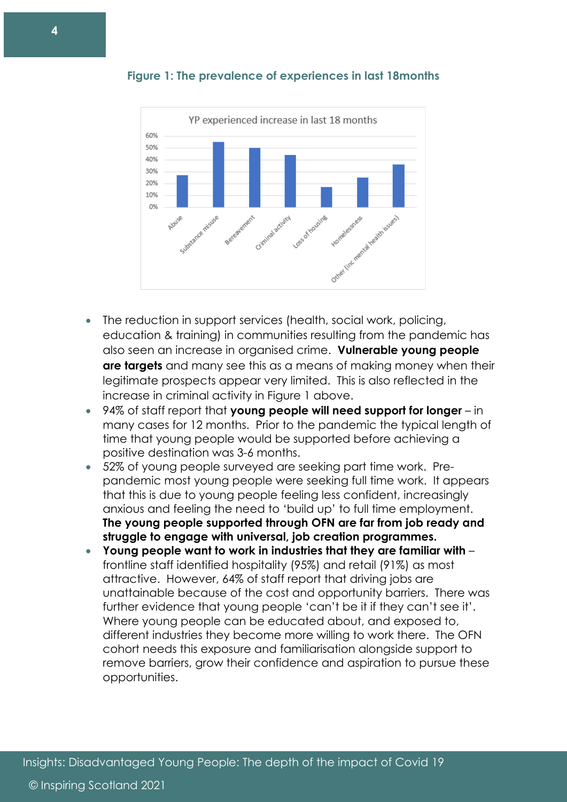

**Figure 1: The prevalence of experiences in last 18months** 

- The reduction in support services (health, social work, policing, education & training) in communities resulting from the pandemic has also seen an increase in organised crime. **Vulnerable young people are targets** and many see this as a means of making money when their legitimate prospects appear very limited. This is also reflected in the increase in criminal activity in Figure 1 above.
- 94% of staff report that **young people will need support for longer** in many cases for 12 months. Prior to the pandemic the typical length of time that young people would be supported before achieving a positive destination was 3-6 months.
- 52% of young people surveyed are seeking part time work. Prepandemic most young people were seeking full time work. It appears that this is due to young people feeling less confident, increasingly anxious and feeling the need to 'build up' to full time employment. **The young people supported through OFN are far from job ready and struggle to engage with universal, job creation programmes.**
- **Young people want to work in industries that they are familiar with** frontline staff identified hospitality (95%) and retail (91%) as most attractive. However, 64% of staff report that driving jobs are unattainable because of the cost and opportunity barriers. There was further evidence that young people 'can't be it if they can't see it'. Where young people can be educated about, and exposed to, different industries they become more willing to work there. The OFN cohort needs this exposure and familiarisation alongside support to remove barriers, grow their confidence and aspiration to pursue these opportunities.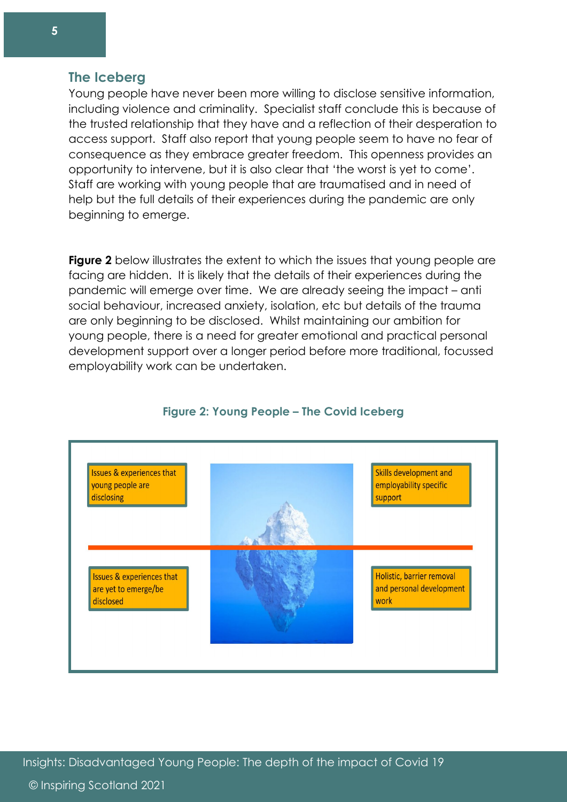#### **The Iceberg**

Young people have never been more willing to disclose sensitive information, including violence and criminality. Specialist staff conclude this is because of the trusted relationship that they have and a reflection of their desperation to access support. Staff also report that young people seem to have no fear of consequence as they embrace greater freedom. This openness provides an opportunity to intervene, but it is also clear that 'the worst is yet to come'. Staff are working with young people that are traumatised and in need of help but the full details of their experiences during the pandemic are only beginning to emerge.

**Figure 2** below illustrates the extent to which the issues that young people are facing are hidden. It is likely that the details of their experiences during the pandemic will emerge over time. We are already seeing the impact – anti social behaviour, increased anxiety, isolation, etc but details of the trauma are only beginning to be disclosed. Whilst maintaining our ambition for young people, there is a need for greater emotional and practical personal development support over a longer period before more traditional, focussed employability work can be undertaken.



#### **Figure 2: Young People – The Covid Iceberg**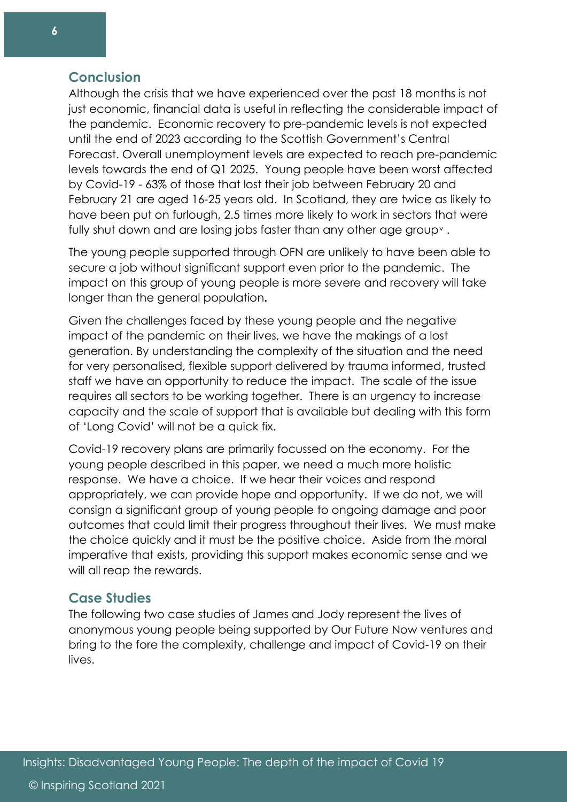## **Conclusion**

Although the crisis that we have experienced over the past 18 months is not just economic, financial data is useful in reflecting the considerable impact of the pandemic. Economic recovery to pre-pandemic levels is not expected until the end of 2023 according to the Scottish Government's Central Forecast. Overall unemployment levels are expected to reach pre-pandemic levels towards the end of Q1 2025. Young people have been worst affected by Covid-19 - 63% of those that lost their job between February 20 and February 21 are aged 16-25 years old. In Scotland, they are twice as likely to have been put on furlough, 2.5 times more likely to work in sectors that were fully shut down and are losing jobs faster than any other age group[v](#page-8-4) .

The young people supported through OFN are unlikely to have been able to secure a job without significant support even prior to the pandemic. The impact on this group of young people is more severe and recovery will take longer than the general population**.**

Given the challenges faced by these young people and the negative impact of the pandemic on their lives, we have the makings of a lost generation. By understanding the complexity of the situation and the need for very personalised, flexible support delivered by trauma informed, trusted staff we have an opportunity to reduce the impact. The scale of the issue requires all sectors to be working together. There is an urgency to increase capacity and the scale of support that is available but dealing with this form of 'Long Covid' will not be a quick fix.

Covid-19 recovery plans are primarily focussed on the economy. For the young people described in this paper, we need a much more holistic response. We have a choice. If we hear their voices and respond appropriately, we can provide hope and opportunity. If we do not, we will consign a significant group of young people to ongoing damage and poor outcomes that could limit their progress throughout their lives. We must make the choice quickly and it must be the positive choice. Aside from the moral imperative that exists, providing this support makes economic sense and we will all reap the rewards.

#### **Case Studies**

The following two case studies of James and Jody represent the lives of anonymous young people being supported by Our Future Now ventures and bring to the fore the complexity, challenge and impact of Covid-19 on their lives.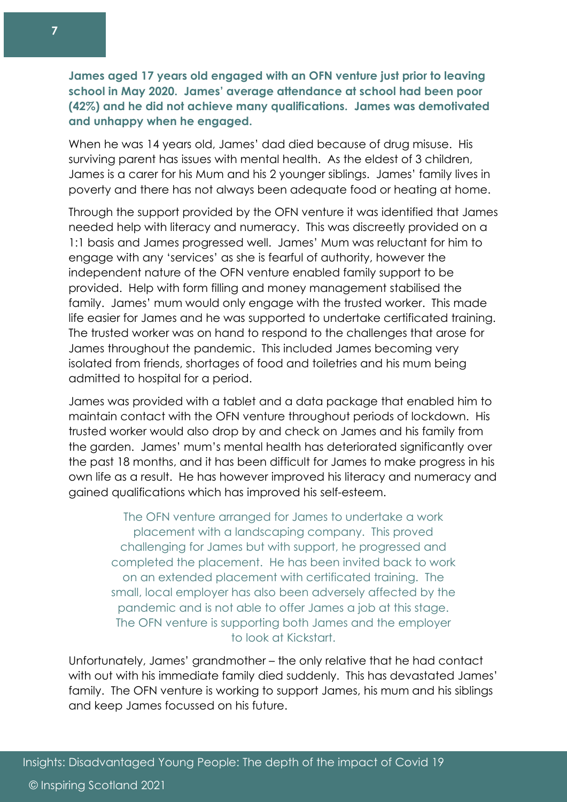**James aged 17 years old engaged with an OFN venture just prior to leaving school in May 2020. James' average attendance at school had been poor (42%) and he did not achieve many qualifications. James was demotivated and unhappy when he engaged.** 

When he was 14 years old, James' dad died because of drug misuse. His surviving parent has issues with mental health. As the eldest of 3 children, James is a carer for his Mum and his 2 younger siblings. James' family lives in poverty and there has not always been adequate food or heating at home.

Through the support provided by the OFN venture it was identified that James needed help with literacy and numeracy. This was discreetly provided on a 1:1 basis and James progressed well. James' Mum was reluctant for him to engage with any 'services' as she is fearful of authority, however the independent nature of the OFN venture enabled family support to be provided. Help with form filling and money management stabilised the family. James' mum would only engage with the trusted worker. This made life easier for James and he was supported to undertake certificated training. The trusted worker was on hand to respond to the challenges that arose for James throughout the pandemic. This included James becoming very isolated from friends, shortages of food and toiletries and his mum being admitted to hospital for a period.

James was provided with a tablet and a data package that enabled him to maintain contact with the OFN venture throughout periods of lockdown. His trusted worker would also drop by and check on James and his family from the garden. James' mum's mental health has deteriorated significantly over the past 18 months, and it has been difficult for James to make progress in his own life as a result. He has however improved his literacy and numeracy and gained qualifications which has improved his self-esteem.

The OFN venture arranged for James to undertake a work placement with a landscaping company. This proved challenging for James but with support, he progressed and completed the placement. He has been invited back to work on an extended placement with certificated training. The small, local employer has also been adversely affected by the pandemic and is not able to offer James a job at this stage. The OFN venture is supporting both James and the employer to look at Kickstart.

Unfortunately, James' grandmother – the only relative that he had contact with out with his immediate family died suddenly. This has devastated James' family. The OFN venture is working to support James, his mum and his siblings and keep James focussed on his future.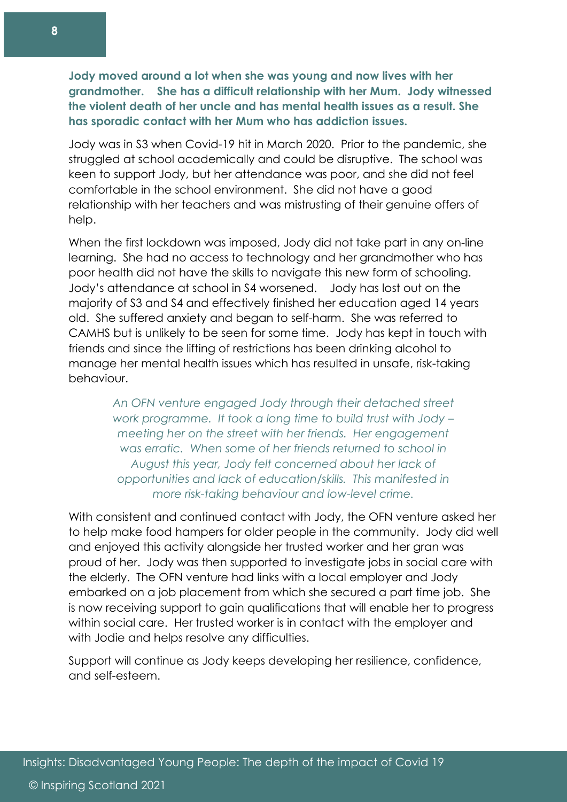**Jody moved around a lot when she was young and now lives with her grandmother. She has a difficult relationship with her Mum. Jody witnessed the violent death of her uncle and has mental health issues as a result. She has sporadic contact with her Mum who has addiction issues.**

Jody was in S3 when Covid-19 hit in March 2020. Prior to the pandemic, she struggled at school academically and could be disruptive. The school was keen to support Jody, but her attendance was poor, and she did not feel comfortable in the school environment. She did not have a good relationship with her teachers and was mistrusting of their genuine offers of help.

When the first lockdown was imposed, Jody did not take part in any on-line learning. She had no access to technology and her grandmother who has poor health did not have the skills to navigate this new form of schooling. Jody's attendance at school in S4 worsened. Jody has lost out on the majority of S3 and S4 and effectively finished her education aged 14 years old. She suffered anxiety and began to self-harm. She was referred to CAMHS but is unlikely to be seen for some time. Jody has kept in touch with friends and since the lifting of restrictions has been drinking alcohol to manage her mental health issues which has resulted in unsafe, risk-taking behaviour.

> *An OFN venture engaged Jody through their detached street work programme. It took a long time to build trust with Jody – meeting her on the street with her friends. Her engagement was erratic. When some of her friends returned to school in August this year, Jody felt concerned about her lack of opportunities and lack of education/skills. This manifested in more risk-taking behaviour and low-level crime.*

With consistent and continued contact with Jody, the OFN venture asked her to help make food hampers for older people in the community. Jody did well and enjoyed this activity alongside her trusted worker and her gran was proud of her. Jody was then supported to investigate jobs in social care with the elderly. The OFN venture had links with a local employer and Jody embarked on a job placement from which she secured a part time job. She is now receiving support to gain qualifications that will enable her to progress within social care. Her trusted worker is in contact with the employer and with Jodie and helps resolve any difficulties.

Support will continue as Jody keeps developing her resilience, confidence, and self-esteem.